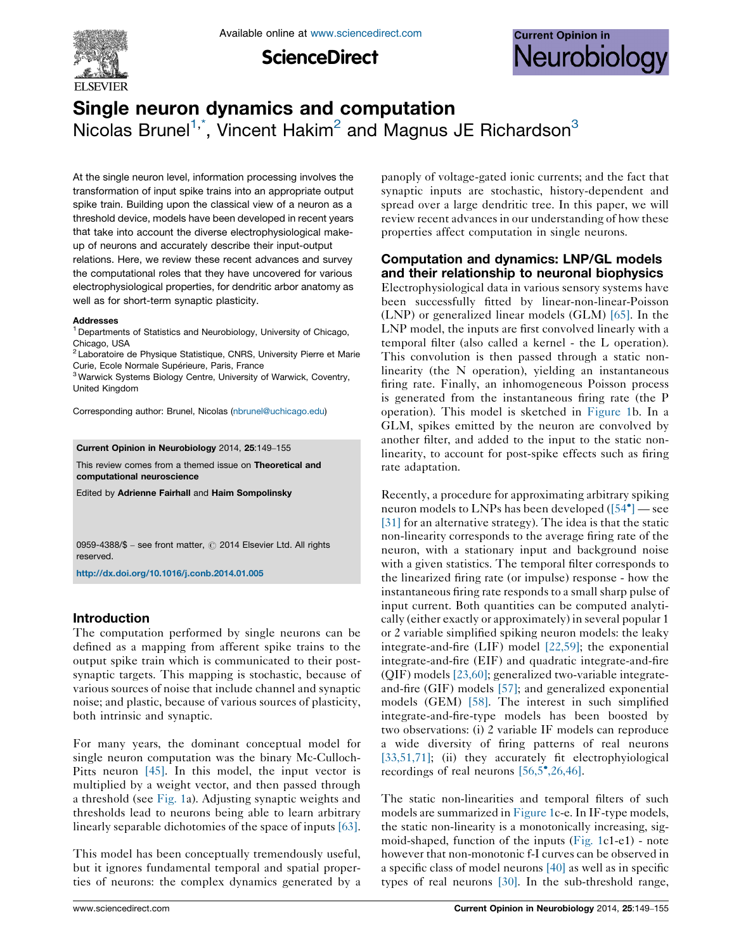

**ScienceDirect** 



# Single neuron dynamics and computation Nicolas Brunel<sup>[1,](#page-0-0)\*</sup>, Vincent Hakim<sup>[2](#page-0-0)</sup> and Magnus JE Richardson<sup>[3](#page-0-0)</sup>

At the single neuron level, information processing involves the transformation of input spike trains into an appropriate output spike train. Building upon the classical view of a neuron as a threshold device, models have been developed in recent years that take into account the diverse electrophysiological makeup of neurons and accurately describe their input-output relations. Here, we review these recent advances and survey the computational roles that they have uncovered for various electrophysiological properties, for dendritic arbor anatomy as well as for short-term synaptic plasticity.

#### Addresses

<sup>1</sup> Departments of Statistics and Neurobiology, University of Chicago, Chicago, USA

<sup>2</sup> Laboratoire de Physique Statistique, CNRS, University Pierre et Marie Curie, Ecole Normale Supérieure, Paris, France

<sup>3</sup> Warwick Systems Biology Centre, University of Warwick, Coventry, United Kingdom

Corresponding author: Brunel, Nicolas ([nbrunel@uchicago.edu\)](nbrunel@uchicago.edu)

#### Current Opinion in Neurobiology 2014, 25:149–155

This review comes from a themed issue on Theoretical and computational neuroscience

Edited by Adrienne Fairhall and Haim Sompolinsky

0959-4388/\$ - see front matter, @ 2014 Elsevier Ltd. All rights reserved.

<http://dx.doi.org/10.1016/j.conb.2014.01.005>

#### Introduction

The computation performed by single neurons can be defined as a mapping from afferent spike trains to the output spike train which is communicated to their postsynaptic targets. This mapping is stochastic, because of various sources of noise that include channel and synaptic noise; and plastic, because of various sources of plasticity, both intrinsic and synaptic.

For many years, the dominant conceptual model for single neuron computation was the binary Mc-Culloch-Pitts neuron [\[45\].](#page-5-0) In this model, the input vector is multiplied by a weight vector, and then passed through a threshold (see [Fig.](#page-1-0) 1a). Adjusting synaptic weights and thresholds lead to neurons being able to learn arbitrary linearly separable dichotomies of the space of inputs [\[63\].](#page-6-0)

<span id="page-0-0"></span>This model has been conceptually tremendously useful, but it ignores fundamental temporal and spatial properties of neurons: the complex dynamics generated by a panoply of voltage-gated ionic currents; and the fact that synaptic inputs are stochastic, history-dependent and spread over a large dendritic tree. In this paper, we will review recent advances in our understanding of how these properties affect computation in single neurons.

## Computation and dynamics: LNP/GL models and their relationship to neuronal biophysics

Electrophysiological data in various sensory systems have been successfully fitted by linear-non-linear-Poisson (LNP) or generalized linear models (GLM) [\[65\].](#page-6-0) In the LNP model, the inputs are first convolved linearly with a temporal filter (also called a kernel - the L operation). This convolution is then passed through a static nonlinearity (the N operation), yielding an instantaneous firing rate. Finally, an inhomogeneous Poisson process is generated from the instantaneous firing rate (the P operation). This model is sketched in [Figure](#page-1-0) 1b. In a GLM, spikes emitted by the neuron are convolved by another filter, and added to the input to the static nonlinearity, to account for post-spike effects such as firing rate adaptation.

Recently, a procedure for approximating arbitrary spiking neuron models to LNPs has been developed  $([54^{\bullet}]$  $([54^{\bullet}]$  $([54^{\bullet}]$  $([54^{\bullet}]$  — see [\[31\]](#page-5-0) for an alternative strategy). The idea is that the static non-linearity corresponds to the average firing rate of the neuron, with a stationary input and background noise with a given statistics. The temporal filter corresponds to the linearized firing rate (or impulse) response - how the instantaneous firing rate responds to a small sharp pulse of input current. Both quantities can be computed analytically (either exactly or approximately) in several popular 1 or 2 variable simplified spiking neuron models: the leaky integrate-and-fire (LIF) model [\[22,59\]](#page-5-0); the exponential integrate-and-fire (EIF) and quadratic integrate-and-fire (QIF) models [\[23,60\]](#page-5-0); generalized two-variable integrateand-fire (GIF) models [\[57\]](#page-6-0); and generalized exponential models (GEM) [\[58\].](#page-6-0) The interest in such simplified integrate-and-fire-type models has been boosted by two observations: (i) 2 variable IF models can reproduce a wide diversity of firing patterns of real neurons [\[33,51,71\];](#page-5-0) (ii) they accurately fit electrophyiological recordings of real neurons  $[56,5^{\bullet},26,46]$  $[56,5^{\bullet},26,46]$ .

The static non-linearities and temporal filters of such models are summarized in [Figure](#page-1-0) 1c-e. In IF-type models, the static non-linearity is a monotonically increasing, sigmoid-shaped, function of the inputs ([Fig.](#page-1-0) 1c1-e1) - note however that non-monotonic f-I curves can be observed in a specific class of model neurons [\[40\]](#page-5-0) as well as in specific types of real neurons [\[30\]](#page-5-0). In the sub-threshold range,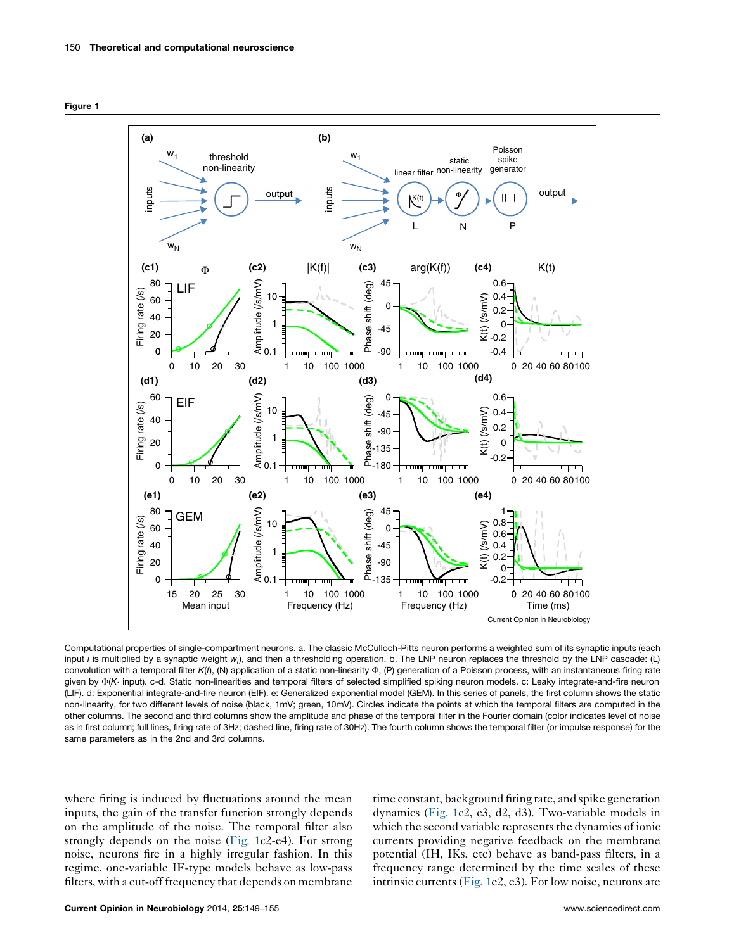



Computational properties of single-compartment neurons. a. The classic McCulloch-Pitts neuron performs a weighted sum of its synaptic inputs (each input i is multiplied by a synaptic weight w<sub>i</sub>), and then a thresholding operation. b. The LNP neuron replaces the threshold by the LNP cascade: (L) convolution with a temporal filter  $K(t)$ , (N) application of a static non-linearity  $\Phi$ , (P) generation of a Poisson process, with an instantaneous firing rate given by  $\Phi$ (K· input). c-d. Static non-linearities and temporal filters of selected simplified spiking neuron models. c: Leaky integrate-and-fire neuron (LIF). d: Exponential integrate-and-fire neuron (EIF). e: Generalized exponential model (GEM). In this series of panels, the first column shows the static non-linearity, for two different levels of noise (black, 1mV; green, 10mV). Circles indicate the points at which the temporal filters are computed in the other columns. The second and third columns show the amplitude and phase of the temporal filter in the Fourier domain (color indicates level of noise as in first column; full lines, firing rate of 3Hz; dashed line, firing rate of 30Hz). The fourth column shows the temporal filter (or impulse response) for the same parameters as in the 2nd and 3rd columns.

<span id="page-1-0"></span>where firing is induced by fluctuations around the mean inputs, the gain of the transfer function strongly depends on the amplitude of the noise. The temporal filter also strongly depends on the noise ([Fig.](#page-1-0) 1c2-e4). For strong noise, neurons fire in a highly irregular fashion. In this regime, one-variable IF-type models behave as low-pass filters, with a cut-off frequency that depends on membrane

time constant, background firing rate, and spike generation dynamics [\(Fig.](#page-1-0) 1c2, c3, d2, d3). Two-variable models in which the second variable represents the dynamics of ionic currents providing negative feedback on the membrane potential (IH, IKs, etc) behave as band-pass filters, in a frequency range determined by the time scales of these intrinsic currents ([Fig.](#page-1-0) 1e2, e3). For low noise, neurons are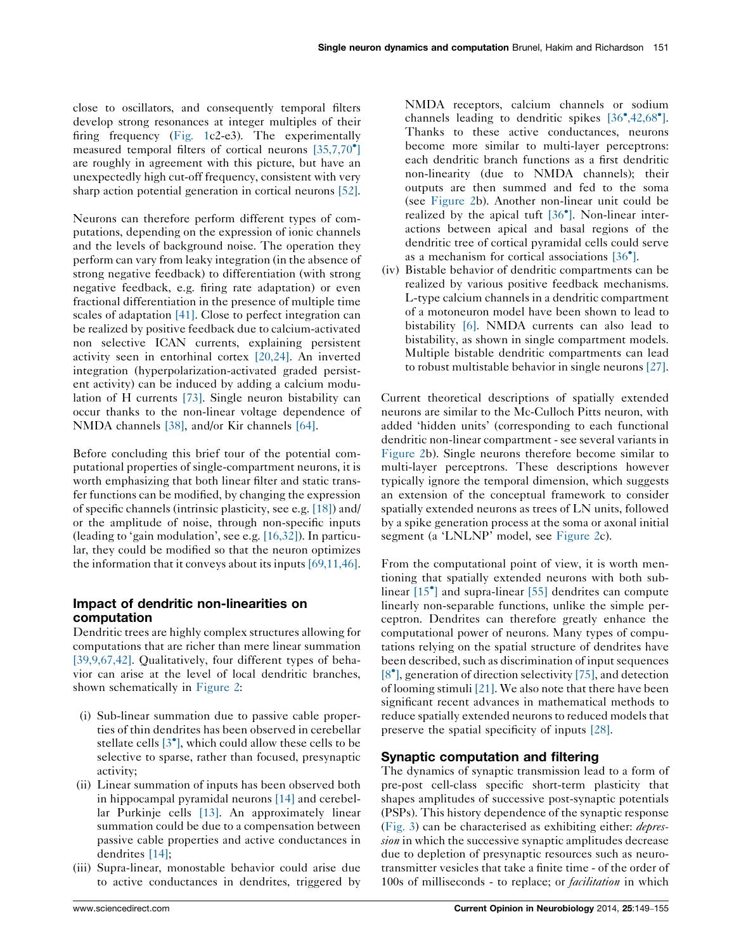close to oscillators, and consequently temporal filters develop strong resonances at integer multiples of their firing frequency ([Fig.](#page-1-0) 1c2-e3). The experimentally measured temporal filters of cortical neurons [\[35,7,70](#page-5-0)<sup>°</sup>[\]](#page-5-0) are roughly in agreement with this picture, but have an unexpectedly high cut-off frequency, consistent with very sharp action potential generation in cortical neurons [\[52\].](#page-6-0)

Neurons can therefore perform different types of computations, depending on the expression of ionic channels and the levels of background noise. The operation they perform can vary from leaky integration (in the absence of strong negative feedback) to differentiation (with strong negative feedback, e.g. firing rate adaptation) or even fractional differentiation in the presence of multiple time scales of adaptation [\[41\].](#page-5-0) Close to perfect integration can be realized by positive feedback due to calcium-activated non selective ICAN currents, explaining persistent activity seen in entorhinal cortex [\[20,24\].](#page-5-0) An inverted integration (hyperpolarization-activated graded persistent activity) can be induced by adding a calcium modulation of H currents [\[73\]](#page-6-0). Single neuron bistability can occur thanks to the non-linear voltage dependence of NMDA channels [\[38\]](#page-5-0), and/or Kir channels [\[64\].](#page-6-0)

Before concluding this brief tour of the potential computational properties of single-compartment neurons, it is worth emphasizing that both linear filter and static transfer functions can be modified, by changing the expression of specific channels (intrinsic plasticity, see e.g. [\[18\]](#page-5-0)) and/ or the amplitude of noise, through non-specific inputs (leading to 'gain modulation', see e.g. [\[16,32\]\)](#page-5-0). In particular, they could be modified so that the neuron optimizes the information that it conveys about its inputs [\[69,11,46\].](#page-6-0)

## Impact of dendritic non-linearities on computation

Dendritic trees are highly complex structures allowing for computations that are richer than mere linear summation [\[39,9,67,42\]](#page-5-0). Qualitatively, four different types of behavior can arise at the level of local dendritic branches, shown schematically in [Figure](#page-3-0) 2:

- (i) Sub-linear summation due to passive cable properties of thin dendrites has been observed in cerebellar stellate cells  $[3<sup>•</sup>]$  $[3<sup>•</sup>]$ , which could allow these cells to be selective to sparse, rather than focused, presynaptic activity;
- (ii) Linear summation of inputs has been observed both in hippocampal pyramidal neurons [\[14\]](#page-5-0) and cerebellar Purkinje cells [\[13\].](#page-5-0) An approximately linear summation could be due to a compensation between passive cable properties and active conductances in dendrites [\[14\];](#page-5-0)
- (iii) Supra-linear, monostable behavior could arise due to active conductances in dendrites, triggered by

NMDA receptors, calcium channels or sodium channels leading to dendritic spikes  $[36^\bullet, 42, 68^\bullet]$  $[36^\bullet, 42, 68^\bullet]$ . Thanks to these active conductances, neurons become more similar to multi-layer perceptrons: each dendritic branch functions as a first dendritic non-linearity (due to NMDA channels); their outputs are then summed and fed to the soma (see [Figure](#page-3-0) 2b). Another non-linear unit could be realized by the apical tuft  $[36^{\circ}]$  $[36^{\circ}]$ . Non-linear interactions between apical and basal regions of the dendritic tree of cortical pyramidal cells could serve as a mechanism for cortical associations  $[36^{\circ}]$  $[36^{\circ}]$  $[36^{\circ}]$ .

(iv) Bistable behavior of dendritic compartments can be realized by various positive feedback mechanisms. L-type calcium channels in a dendritic compartment of a motoneuron model have been shown to lead to bistability [\[6\].](#page-4-0) NMDA currents can also lead to bistability, as shown in single compartment models. Multiple bistable dendritic compartments can lead to robust multistable behavior in single neurons [\[27\].](#page-5-0)

Current theoretical descriptions of spatially extended neurons are similar to the Mc-Culloch Pitts neuron, with added 'hidden units' (corresponding to each functional dendritic non-linear compartment - see several variants in [Figure](#page-3-0) 2b). Single neurons therefore become similar to multi-layer perceptrons. These descriptions however typically ignore the temporal dimension, which suggests an extension of the conceptual framework to consider spatially extended neurons as trees of LN units, followed by a spike generation process at the soma or axonal initial segment (a 'LNLNP' model, see [Figure](#page-3-0) 2c).

From the computational point of view, it is worth mentioning that spatially extended neurons with both sublinear  $[15<sup>•</sup>]$  $[15<sup>•</sup>]$  $[15<sup>•</sup>]$  and supra-linear  $[55]$  dendrites can compute linearly non-separable functions, unlike the simple perceptron. Dendrites can therefore greatly enhance the computational power of neurons. Many types of computations relying on the spatial structure of dendrites have been described, such as discrimination of input sequences [\[8](#page-5-0)<sup>°</sup>[\],](#page-5-0) generation of direction selectivity [\[75\],](#page-6-0) and detection of looming stimuli [\[21\].](#page-5-0) We also note that there have been significant recent advances in mathematical methods to reduce spatially extended neurons to reduced models that preserve the spatial specificity of inputs [\[28\]](#page-5-0).

# Synaptic computation and filtering

The dynamics of synaptic transmission lead to a form of pre-post cell-class specific short-term plasticity that shapes amplitudes of successive post-synaptic potentials (PSPs). This history dependence of the synaptic response ([Fig.](#page-3-0) 3) can be characterised as exhibiting either: depression in which the successive synaptic amplitudes decrease due to depletion of presynaptic resources such as neurotransmitter vesicles that take a finite time - of the order of 100s of milliseconds - to replace; or *facilitation* in which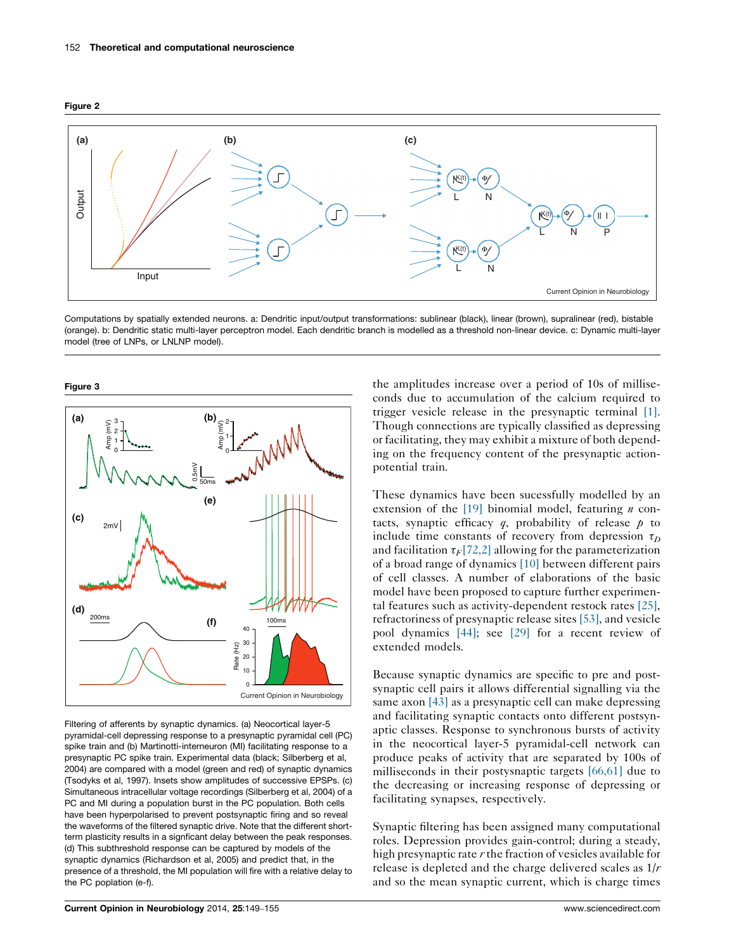



Computations by spatially extended neurons. a: Dendritic input/output transformations: sublinear (black), linear (brown), supralinear (red), bistable (orange). b: Dendritic static multi-layer perceptron model. Each dendritic branch is modelled as a threshold non-linear device. c: Dynamic multi-layer model (tree of LNPs, or LNLNP model).

Figure 3



<span id="page-3-0"></span>Filtering of afferents by synaptic dynamics. (a) Neocortical layer-5 pyramidal-cell depressing response to a presynaptic pyramidal cell (PC) spike train and (b) Martinotti-interneuron (MI) facilitating response to a presynaptic PC spike train. Experimental data (black; Silberberg et al, 2004) are compared with a model (green and red) of synaptic dynamics (Tsodyks et al, 1997). Insets show amplitudes of successive EPSPs. (c) Simultaneous intracellular voltage recordings (Silberberg et al, 2004) of a PC and MI during a population burst in the PC population. Both cells have been hyperpolarised to prevent postsynaptic firing and so reveal the waveforms of the filtered synaptic drive. Note that the different shortterm plasticity results in a signficant delay between the peak responses. (d) This subthreshold response can be captured by models of the synaptic dynamics (Richardson et al, 2005) and predict that, in the presence of a threshold, the MI population will fire with a relative delay to the PC poplation (e-f).

the amplitudes increase over a period of 10s of milliseconds due to accumulation of the calcium required to trigger vesicle release in the presynaptic terminal [\[1\].](#page-4-0) Though connections are typically classified as depressing or facilitating, they may exhibit a mixture of both depending on the frequency content of the presynaptic actionpotential train.

These dynamics have been sucessfully modelled by an extension of the  $[19]$  binomial model, featuring *n* contacts, synaptic efficacy  $q$ , probability of release  $p$  to include time constants of recovery from depression  $\tau_D$ and facilitation  $\tau_F[72,2]$  $\tau_F[72,2]$  allowing for the parameterization of a broad range of dynamics [\[10\]](#page-5-0) between different pairs of cell classes. A number of elaborations of the basic model have been proposed to capture further experimental features such as activity-dependent restock rates [\[25\],](#page-5-0) refractoriness of presynaptic release sites [\[53\]](#page-6-0), and vesicle pool dynamics [\[44\];](#page-5-0) see [\[29\]](#page-5-0) for a recent review of extended models.

Because synaptic dynamics are specific to pre and postsynaptic cell pairs it allows differential signalling via the same axon [\[43\]](#page-5-0) as a presynaptic cell can make depressing and facilitating synaptic contacts onto different postsynaptic classes. Response to synchronous bursts of activity in the neocortical layer-5 pyramidal-cell network can produce peaks of activity that are separated by 100s of milliseconds in their postysnaptic targets [\[66,61\]](#page-6-0) due to the decreasing or increasing response of depressing or facilitating synapses, respectively.

Synaptic filtering has been assigned many computational roles. Depression provides gain-control; during a steady, high presynaptic rate  $r$  the fraction of vesicles available for release is depleted and the charge delivered scales as 1/r and so the mean synaptic current, which is charge times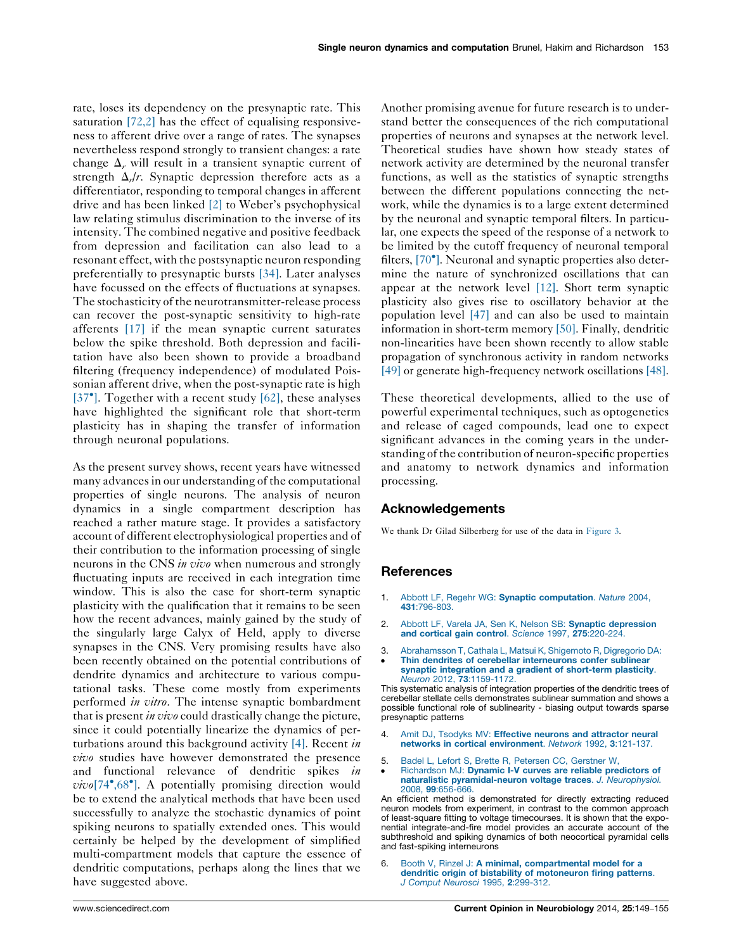rate, loses its dependency on the presynaptic rate. This saturation [\[72,2\]](#page-6-0) has the effect of equalising responsiveness to afferent drive over a range of rates. The synapses nevertheless respond strongly to transient changes: a rate change  $\Delta_r$  will result in a transient synaptic current of strength  $\Delta_r/r$ . Synaptic depression therefore acts as a differentiator, responding to temporal changes in afferent drive and has been linked [\[2\]](#page-4-0) to Weber's psychophysical law relating stimulus discrimination to the inverse of its intensity. The combined negative and positive feedback from depression and facilitation can also lead to a resonant effect, with the postsynaptic neuron responding preferentially to presynaptic bursts [\[34\]](#page-5-0). Later analyses have focussed on the effects of fluctuations at synapses. The stochasticity of the neurotransmitter-release process can recover the post-synaptic sensitivity to high-rate afferents [\[17\]](#page-5-0) if the mean synaptic current saturates below the spike threshold. Both depression and facilitation have also been shown to provide a broadband filtering (frequency independence) of modulated Poissonian afferent drive, when the post-synaptic rate is high [\[37](#page-5-0)<sup>\*</sup>[\].](#page-5-0) Together with a recent study [\[62\]](#page-6-0), these analyses have highlighted the significant role that short-term plasticity has in shaping the transfer of information through neuronal populations.

As the present survey shows, recent years have witnessed many advances in our understanding of the computational properties of single neurons. The analysis of neuron dynamics in a single compartment description has reached a rather mature stage. It provides a satisfactory account of different electrophysiological properties and of their contribution to the information processing of single neurons in the CNS in vivo when numerous and strongly fluctuating inputs are received in each integration time window. This is also the case for short-term synaptic plasticity with the qualification that it remains to be seen how the recent advances, mainly gained by the study of the singularly large Calyx of Held, apply to diverse synapses in the CNS. Very promising results have also been recently obtained on the potential contributions of dendrite dynamics and architecture to various computational tasks. These come mostly from experiments performed *in vitro*. The intense synaptic bombardment that is present *in vivo* could drastically change the picture, since it could potentially linearize the dynamics of per-turbations around this background activity [\[4\].](#page-4-0) Recent *in* vivo studies have however demonstrated the presence and functional relevance of dendritic spikes in  $vivo[74^\bullet,68^\bullet]$  $vivo[74^\bullet,68^\bullet]$  $vivo[74^\bullet,68^\bullet]$  $vivo[74^\bullet,68^\bullet]$  $vivo[74^\bullet,68^\bullet]$ . A potentially promising direction would be to extend the analytical methods that have been used successfully to analyze the stochastic dynamics of point spiking neurons to spatially extended ones. This would certainly be helped by the development of simplified multi-compartment models that capture the essence of dendritic computations, perhaps along the lines that we have suggested above.

Another promising avenue for future research is to understand better the consequences of the rich computational properties of neurons and synapses at the network level. Theoretical studies have shown how steady states of network activity are determined by the neuronal transfer functions, as well as the statistics of synaptic strengths between the different populations connecting the network, while the dynamics is to a large extent determined by the neuronal and synaptic temporal filters. In particular, one expects the speed of the response of a network to be limited by the cutoff frequency of neuronal temporal filters, [\[70](#page-6-0)<sup>°</sup>[\]](#page-6-0). Neuronal and synaptic properties also determine the nature of synchronized oscillations that can appear at the network level [\[12\]](#page-5-0). Short term synaptic plasticity also gives rise to oscillatory behavior at the population level [\[47\]](#page-6-0) and can also be used to maintain information in short-term memory [\[50\].](#page-6-0) Finally, dendritic non-linearities have been shown recently to allow stable propagation of synchronous activity in random networks [\[49\]](#page-6-0) or generate high-frequency network oscillations [\[48\].](#page-6-0)

These theoretical developments, allied to the use of powerful experimental techniques, such as optogenetics and release of caged compounds, lead one to expect significant advances in the coming years in the understanding of the contribution of neuron-specific properties and anatomy to network dynamics and information processing.

## Acknowledgements

We thank Dr Gilad Silberberg for use of the data in [Figure](#page-3-0) 3.

## References

- 1. Abbott LF, Regehr WG: Synaptic [computation](http://refhub.elsevier.com/S0959-4388(14)00013-0/sbref0005). Nature 2004, 431[:796-803.](http://refhub.elsevier.com/S0959-4388(14)00013-0/sbref0005)
- 2. Abbott LF, Varela JA, Sen K, Nelson SB: Synaptic [depression](http://refhub.elsevier.com/S0959-4388(14)00013-0/sbref0010) and cortical gain control. Science 1997, 275[:220-224.](http://refhub.elsevier.com/S0959-4388(14)00013-0/sbref0010)
- 3. **.** [Abrahamsson](http://refhub.elsevier.com/S0959-4388(14)00013-0/sbref0015) T, Cathala L, Matsui K, Shigemoto R, Digregorio DA: Thin dendrites of cerebellar [interneurons](http://refhub.elsevier.com/S0959-4388(14)00013-0/sbref0015) confer sublinear synaptic [integration](http://refhub.elsevier.com/S0959-4388(14)00013-0/sbref0015) and a gradient of short-term plasticity. Neuron 2012, 73[:1159-1172.](http://refhub.elsevier.com/S0959-4388(14)00013-0/sbref0015)

This systematic analysis of integration properties of the dendritic trees of cerebellar stellate cells demonstrates sublinear summation and shows a possible functional role of sublinearity - biasing output towards sparse presynaptic patterns

- 4. Amit DJ, Tsodyks MV: [Effective](http://refhub.elsevier.com/S0959-4388(14)00013-0/sbref0020) neurons and attractor neural networks in cortical [environment](http://refhub.elsevier.com/S0959-4388(14)00013-0/sbref0020). Network 1992, 3:121-137.
- 5. Badel L, Lefort S, Brette R, [Petersen](http://refhub.elsevier.com/S0959-4388(14)00013-0/sbref0025) CC, Gerstner W,
- $^{\bullet}$ [Richardson](http://refhub.elsevier.com/S0959-4388(14)00013-0/sbref0025) MJ: Dynamic I-V curves are reliable predictors of naturalistic [pyramidal-neuron](http://refhub.elsevier.com/S0959-4388(14)00013-0/sbref0025) voltage traces. J. Neurophysiol. 2008, 99[:656-666.](http://refhub.elsevier.com/S0959-4388(14)00013-0/sbref0025)

An efficient method is demonstrated for directly extracting reduced neuron models from experiment, in contrast to the common approach of least-square fitting to voltage timecourses. It is shown that the exponential integrate-and-fire model provides an accurate account of the subthreshold and spiking dynamics of both neocortical pyramidal cells and fast-spiking interneurons

<span id="page-4-0"></span>6. Booth V, Rinzel J: A minimal, [compartmental](http://refhub.elsevier.com/S0959-4388(14)00013-0/sbref0030) model for a dendritic origin of bistability of [motoneuron](http://refhub.elsevier.com/S0959-4388(14)00013-0/sbref0030) firing patterns. J Comput Neurosci 1995, 2[:299-312.](http://refhub.elsevier.com/S0959-4388(14)00013-0/sbref0030)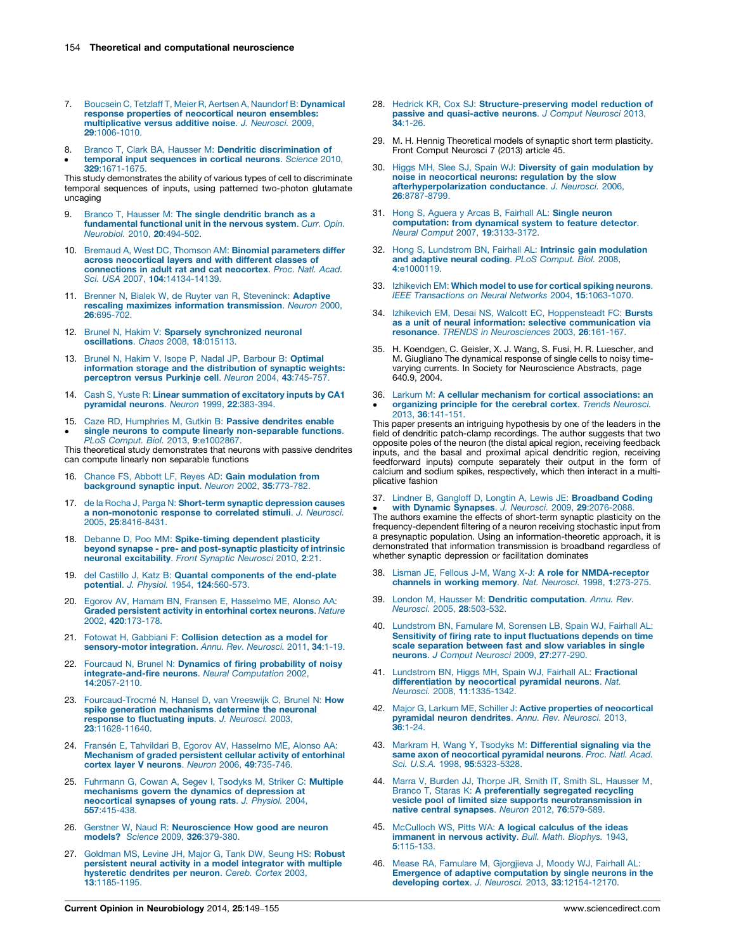- 7. Boucsein C, Tetzlaff T, Meier R, Aertsen A, Naundorf B: [Dynamical](http://refhub.elsevier.com/S0959-4388(14)00013-0/sbref0035) response properties of neocortical neuron [ensembles:](http://refhub.elsevier.com/S0959-4388(14)00013-0/sbref0035) [multiplicative](http://refhub.elsevier.com/S0959-4388(14)00013-0/sbref0035) versus additive noise. J. Neurosci. 2009, 29[:1006-1010.](http://refhub.elsevier.com/S0959-4388(14)00013-0/sbref0035)
- 8. **.** Branco T, Clark BA, Hausser M: Dendritic [discrimination](http://refhub.elsevier.com/S0959-4388(14)00013-0/sbref0040) of temporal input [sequences](http://refhub.elsevier.com/S0959-4388(14)00013-0/sbref0040) in cortical neurons. Science 2010, 329[:1671-1675.](http://refhub.elsevier.com/S0959-4388(14)00013-0/sbref0040)

This study demonstrates the ability of various types of cell to discriminate temporal sequences of inputs, using patterned two-photon glutamate uncaging

- 9. Branco T, Hausser M: The single [dendritic](http://refhub.elsevier.com/S0959-4388(14)00013-0/sbref0045) branch as a [fundamental](http://refhub.elsevier.com/S0959-4388(14)00013-0/sbref0045) functional unit in the nervous system. Curr. Opin. [Neurobiol.](http://refhub.elsevier.com/S0959-4388(14)00013-0/sbref0045) 2010, 20:494-502.
- 10. Bremaud A, West DC, Thomson AM: Binomial [parameters](http://refhub.elsevier.com/S0959-4388(14)00013-0/sbref0050) differ across [neocortical](http://refhub.elsevier.com/S0959-4388(14)00013-0/sbref0050) layers and with different classes of [connections](http://refhub.elsevier.com/S0959-4388(14)00013-0/sbref0050) in adult rat and cat neocortex. Proc. Natl. Acad. Sci. USA 2007, 104[:14134-14139.](http://refhub.elsevier.com/S0959-4388(14)00013-0/sbref0050)
- 11. Brenner N, Bialek W, de Ruyter van R, [Steveninck:](http://refhub.elsevier.com/S0959-4388(14)00013-0/sbref0055) Adaptive rescaling maximizes information [transmission](http://refhub.elsevier.com/S0959-4388(14)00013-0/sbref0055). Neuron 2000, 26[:695-702.](http://refhub.elsevier.com/S0959-4388(14)00013-0/sbref0055)
- 12. Brunel N, Hakim V: Sparsely [synchronized](http://refhub.elsevier.com/S0959-4388(14)00013-0/sbref0060) neuronal [oscillations](http://refhub.elsevier.com/S0959-4388(14)00013-0/sbref0060). Chaos 2008, 18:015113.
- 13. Brunel N, Hakim V, Isope P, Nadal JP, Barbour B: [Optimal](http://refhub.elsevier.com/S0959-4388(14)00013-0/sbref0065) [information](http://refhub.elsevier.com/S0959-4388(14)00013-0/sbref0065) storage and the distribution of synaptic weights: [perceptron](http://refhub.elsevier.com/S0959-4388(14)00013-0/sbref0065) versus Purkinje cell. Neuron 2004, 43:745-757.
- 14. Cash S, Yuste R: Linear [summation](http://refhub.elsevier.com/S0959-4388(14)00013-0/sbref0070) of excitatory inputs by CA1 [pyramidal](http://refhub.elsevier.com/S0959-4388(14)00013-0/sbref0070) neurons. Neuron 1999, 22:383-394.
- 15. Caze RD, [Humphries](http://refhub.elsevier.com/S0959-4388(14)00013-0/sbref0075) M, Gutkin B: Passive dendrites enable  $^{\bullet}$ single neurons to compute linearly [non-separable](http://refhub.elsevier.com/S0959-4388(14)00013-0/sbref0075) functions. PLoS Comput. Biol. 2013, 9[:e1002867.](http://refhub.elsevier.com/S0959-4388(14)00013-0/sbref0075)

This theoretical study demonstrates that neurons with passive dendrites can compute linearly non separable functions

- 16. Chance FS, Abbott LF, Reyes AD: Gain [modulation](http://refhub.elsevier.com/S0959-4388(14)00013-0/sbref0080) from [background](http://refhub.elsevier.com/S0959-4388(14)00013-0/sbref0080) synaptic input. Neuron 2002, 35:773-782.
- 17. de la Rocha J, Parga N: Short-term synaptic [depression](http://refhub.elsevier.com/S0959-4388(14)00013-0/sbref0085) causes a [non-monotonic](http://refhub.elsevier.com/S0959-4388(14)00013-0/sbref0085) response to correlated stimuli. J. Neurosci. 2005, 25[:8416-8431.](http://refhub.elsevier.com/S0959-4388(14)00013-0/sbref0085)
- 18. Debanne D, Poo MM: [Spike-timing](http://refhub.elsevier.com/S0959-4388(14)00013-0/sbref0090) dependent plasticity beyond synapse - pre- and [post-synaptic](http://refhub.elsevier.com/S0959-4388(14)00013-0/sbref0090) plasticity of intrinsic neuronal [excitability](http://refhub.elsevier.com/S0959-4388(14)00013-0/sbref0090). Front Synaptic Neurosci 2010, 2:21.
- 19. del Castillo J, Katz B: Quantal [components](http://refhub.elsevier.com/S0959-4388(14)00013-0/sbref0095) of the end-plate potential. J. Physiol. 1954, 124[:560-573.](http://refhub.elsevier.com/S0959-4388(14)00013-0/sbref0095)
- 20. Egorov AV, Hamam BN, Fransen E, [Hasselmo](http://refhub.elsevier.com/S0959-4388(14)00013-0/sbref0100) ME, Alonso AA: Graded persistent activity in [entorhinal](http://refhub.elsevier.com/S0959-4388(14)00013-0/sbref0100) cortex neurons. Nature 2002, 420[:173-178.](http://refhub.elsevier.com/S0959-4388(14)00013-0/sbref0100)
- 21. Fotowat H, Gabbiani F: Collision [detection](http://refhub.elsevier.com/S0959-4388(14)00013-0/sbref0105) as a model for [sensory-motor](http://refhub.elsevier.com/S0959-4388(14)00013-0/sbref0105) integration. Annu. Rev. Neurosci. 2011, 34:1-19.
- 22. Fourcaud N, Brunel N: Dynamics of firing [probability](http://refhub.elsevier.com/S0959-4388(14)00013-0/sbref0110) of noisy [integrate-and-fire](http://refhub.elsevier.com/S0959-4388(14)00013-0/sbref0110) neurons. Neural Computation 2002, 14[:2057-2110.](http://refhub.elsevier.com/S0959-4388(14)00013-0/sbref0110)
- 23. Fourcaud-Trocmé N, Hansel D, van Vreeswijk C, Brunel N: How spike generation [mechanisms](http://refhub.elsevier.com/S0959-4388(14)00013-0/sbref0115) determine the neuronal response to [fluctuating](http://refhub.elsevier.com/S0959-4388(14)00013-0/sbref0115) inputs. J. Neurosci. 2003, 23[:11628-11640.](http://refhub.elsevier.com/S0959-4388(14)00013-0/sbref0115)
- 24. Fransén E, Tahvildari B, Egorov AV, [Hasselmo](http://refhub.elsevier.com/S0959-4388(14)00013-0/sbref0120) ME, Alonso AA: [Mechanism](http://refhub.elsevier.com/S0959-4388(14)00013-0/sbref0120) of graded persistent cellular activity of entorhinal cortex layer V neurons. Neuron 2006, 49[:735-746.](http://refhub.elsevier.com/S0959-4388(14)00013-0/sbref0120)
- 25. [Fuhrmann](http://refhub.elsevier.com/S0959-4388(14)00013-0/sbref0125) G, Cowan A, Segev I, Tsodyks M, Striker C: Multiple [mechanisms](http://refhub.elsevier.com/S0959-4388(14)00013-0/sbref0125) govern the dynamics of depression at [neocortical](http://refhub.elsevier.com/S0959-4388(14)00013-0/sbref0125) synapses of young rats. J. Physiol. 2004, 557[:415-438.](http://refhub.elsevier.com/S0959-4388(14)00013-0/sbref0125)
- 26. Gerstner W, Naud R: [Neuroscience](http://refhub.elsevier.com/S0959-4388(14)00013-0/sbref0130) How good are neuron models? Science 2009, 326[:379-380.](http://refhub.elsevier.com/S0959-4388(14)00013-0/sbref0130)
- <span id="page-5-0"></span>27. [Goldman](http://refhub.elsevier.com/S0959-4388(14)00013-0/sbref0135) MS, Levine JH, Major G, Tank DW, Seung HS: Robust [persistent](http://refhub.elsevier.com/S0959-4388(14)00013-0/sbref0135) neural activity in a model integrator with multiple [hysteretic](http://refhub.elsevier.com/S0959-4388(14)00013-0/sbref0135) dendrites per neuron. Cereb. Cortex 2003, 13[:1185-1195.](http://refhub.elsevier.com/S0959-4388(14)00013-0/sbref0135)
- 28. Hedrick KR, Cox SJ: [Structure-preserving](http://refhub.elsevier.com/S0959-4388(14)00013-0/sbref0140) model reduction of passive and [quasi-active](http://refhub.elsevier.com/S0959-4388(14)00013-0/sbref0140) neurons. J Comput Neurosci 2013, 34[:1-26.](http://refhub.elsevier.com/S0959-4388(14)00013-0/sbref0140)
- 29. M. H. Hennig Theoretical models of synaptic short term plasticity. Front Comput Neurosci 7 (2013) article 45.
- 30. Higgs MH, Slee SJ, Spain WJ: Diversity of gain [modulation](http://refhub.elsevier.com/S0959-4388(14)00013-0/sbref0150) by noise in [neocortical](http://refhub.elsevier.com/S0959-4388(14)00013-0/sbref0150) neurons: regulation by the slow [afterhyperpolarization](http://refhub.elsevier.com/S0959-4388(14)00013-0/sbref0150) conductance. J. Neurosci. 2006, 26[:8787-8799.](http://refhub.elsevier.com/S0959-4388(14)00013-0/sbref0150)
- 31. Hong S, Aguera y Arcas B, Fairhall AL: Single [neuron](http://refhub.elsevier.com/S0959-4388(14)00013-0/sbref0155) [computation:](http://refhub.elsevier.com/S0959-4388(14)00013-0/sbref0155) from dynamical system to feature detector. Neural Comput 2007, 19[:3133-3172.](http://refhub.elsevier.com/S0959-4388(14)00013-0/sbref0155)
- 32. Hong S, Lundstrom BN, Fairhall AL: Intrinsic gain [modulation](http://refhub.elsevier.com/S0959-4388(14)00013-0/sbref0160) and [adaptive](http://refhub.elsevier.com/S0959-4388(14)00013-0/sbref0160) neural coding. PLoS Comput. Biol. 2008, 4[:e1000119.](http://refhub.elsevier.com/S0959-4388(14)00013-0/sbref0160)
- 33. [Izhikevich](http://refhub.elsevier.com/S0959-4388(14)00013-0/sbref0165) EM: Which model to use for cortical spiking neurons. IEEE [Transactions](http://refhub.elsevier.com/S0959-4388(14)00013-0/sbref0165) on Neural Networks 2004, 15:1063-1070.
- 34. Izhikevich EM, Desai NS, Walcott EC, [Hoppensteadt](http://refhub.elsevier.com/S0959-4388(14)00013-0/sbref0170) FC: Bursts as a unit of neural information: selective [communication](http://refhub.elsevier.com/S0959-4388(14)00013-0/sbref0170) via resonance. TRENDS in [Neurosciences](http://refhub.elsevier.com/S0959-4388(14)00013-0/sbref0170) 2003, 26:161-167.
- 35. H. Koendgen, C. Geisler, X. J. Wang, S. Fusi, H. R. Luescher, and M. Giugliano The dynamical response of single cells to noisy timevarying currents. In Society for Neuroscience Abstracts, page 640.9, 2004.
- 36. Larkum M: A cellular mechanism for cortical [associations:](http://refhub.elsevier.com/S0959-4388(14)00013-0/sbref0180) an **.** [organizing](http://refhub.elsevier.com/S0959-4388(14)00013-0/sbref0180) principle for the cerebral cortex. Trends Neurosci. 2013, 36[:141-151.](http://refhub.elsevier.com/S0959-4388(14)00013-0/sbref0180)

This paper presents an intriguing hypothesis by one of the leaders in the field of dendritic patch-clamp recordings. The author suggests that two opposite poles of the neuron (the distal apical region, receiving feedback inputs, and the basal and proximal apical dendritic region, receiving feedforward inputs) compute separately their output in the form of calcium and sodium spikes, respectively, which then interact in a multiplicative fashion

37. 37. Lindner B, Gangloff D, Longtin A, Lewis JE: **[Broadband](http://refhub.elsevier.com/S0959-4388(14)00013-0/sbref0185) Coding**<br>• with Dynamic Synapses. J. Neurosci. 2009, 29[:2076-2088.](http://refhub.elsevier.com/S0959-4388(14)00013-0/sbref0185)<br>The authors examine the effects of short-term synaptic plasticity on the

: frequency-dependent filtering of a neuron receiving stochastic input from a presynaptic population. Using an information-theoretic approach, it is demonstrated that information transmission is broadband regardless of whether synaptic depression or facilitation dominates

- 38. Lisman JE, Fellous J-M, Wang X-J: A role for [NMDA-receptor](http://refhub.elsevier.com/S0959-4388(14)00013-0/sbref0190) channels in working memory. Nat. Neurosci. 1998, 1[:273-275.](http://refhub.elsevier.com/S0959-4388(14)00013-0/sbref0190)
- 39. London M, Hausser M: Dendritic [computation](http://refhub.elsevier.com/S0959-4388(14)00013-0/sbref0195). Annu. Rev. Neurosci. 2005, 28[:503-532.](http://refhub.elsevier.com/S0959-4388(14)00013-0/sbref0195)
- 40. [Lundstrom](http://refhub.elsevier.com/S0959-4388(14)00013-0/sbref0200) BN, Famulare M, Sorensen LB, Spain WJ, Fairhall AL: Sensitivity of firing rate to input [fluctuations](http://refhub.elsevier.com/S0959-4388(14)00013-0/sbref0200) depends on time scale [separation](http://refhub.elsevier.com/S0959-4388(14)00013-0/sbref0200) between fast and slow variables in single neurons. J Comput Neurosci 2009, 27[:277-290.](http://refhub.elsevier.com/S0959-4388(14)00013-0/sbref0200)
- 41. [Lundstrom](http://refhub.elsevier.com/S0959-4388(14)00013-0/sbref0205) BN, Higgs MH, Spain WJ, Fairhall AL: Fractional [differentiation](http://refhub.elsevier.com/S0959-4388(14)00013-0/sbref0205) by neocortical pyramidal neurons. Nat. Neurosci. 2008, 11[:1335-1342.](http://refhub.elsevier.com/S0959-4388(14)00013-0/sbref0205)
- 42. Major G, Larkum ME, Schiller J: Active properties of [neocortical](http://refhub.elsevier.com/S0959-4388(14)00013-0/sbref0210) [pyramidal](http://refhub.elsevier.com/S0959-4388(14)00013-0/sbref0210) neuron dendrites. Annu. Rev. Neurosci. 2013, 36[:1-24.](http://refhub.elsevier.com/S0959-4388(14)00013-0/sbref0210)
- 43. Markram H, Wang Y, Tsodyks M: [Differential](http://refhub.elsevier.com/S0959-4388(14)00013-0/sbref0215) signaling via the same axon of [neocortical](http://refhub.elsevier.com/S0959-4388(14)00013-0/sbref0215) pyramidal neurons. Proc. Natl. Acad.<br>Sci. U.S.A. 1998, 95[:5323-5328.](http://refhub.elsevier.com/S0959-4388(14)00013-0/sbref0215)
- 44. Marra V, Burden JJ, Thorpe JR, Smith IT, Smith SL, [Hausser](http://refhub.elsevier.com/S0959-4388(14)00013-0/sbref0220) M, Branco T, Staras K: A [preferentially](http://refhub.elsevier.com/S0959-4388(14)00013-0/sbref0220) segregated recycling vesicle pool of limited size supports [neurotransmission](http://refhub.elsevier.com/S0959-4388(14)00013-0/sbref0220) in native central [synapses](http://refhub.elsevier.com/S0959-4388(14)00013-0/sbref0220). Neuron 2012, 76:579-589.
- 45. [McCulloch](http://refhub.elsevier.com/S0959-4388(14)00013-0/sbref0225) WS, Pitts WA: A logical calculus of the ideas [immanent](http://refhub.elsevier.com/S0959-4388(14)00013-0/sbref0225) in nervous activity. Bull. Math. Biophys. 1943, 5[:115-133.](http://refhub.elsevier.com/S0959-4388(14)00013-0/sbref0225)
- 46. Mease RA, Famulare M, [Gjorgjieva](http://refhub.elsevier.com/S0959-4388(14)00013-0/sbref0230) J, Moody WJ, Fairhall AL: Emergence of adaptive [computation](http://refhub.elsevier.com/S0959-4388(14)00013-0/sbref0230) by single neurons in the developing cortex. J. Neurosci. 2013, 33[:12154-12170.](http://refhub.elsevier.com/S0959-4388(14)00013-0/sbref0230)